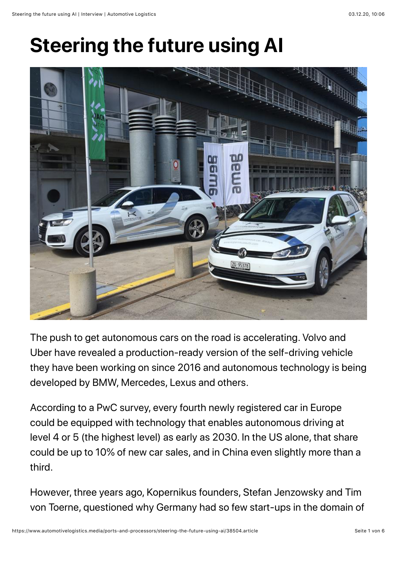# **Steering the future using AI**



The push to get autonomous cars on the road is accelerating. Volvo and Uber have revealed a production-ready version of the self-driving vehicle they have been working on since 2016 and autonomous technology is being developed by BMW, Mercedes, Lexus and others.

According to a PwC survey, every fourth newly registered car in Europe could be equipped with technology that enables autonomous driving at level 4 or 5 (the highest level) as early as 2030. In the US alone, that share could be up to 10% of new car sales, and in China even slightly more than a third.

However, three years ago, Kopernikus founders, Stefan Jenzowsky and Tim von Toerne, questioned why Germany had so few start-ups in the domain of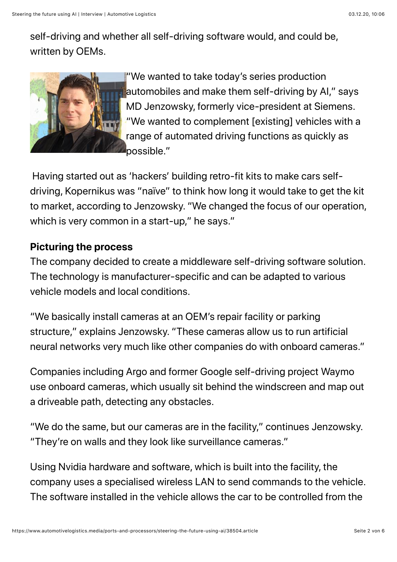self-driving and whether all self-driving software would, and could be, written by OEMs.



"We wanted to take today's series production automobiles and make them self-driving by AI," says MD Jenzowsky, formerly vice-president at Siemens. "We wanted to complement [existing] vehicles with a range of automated driving functions as quickly as possible."

 Having started out as 'hackers' building retro-fit kits to make cars selfdriving, Kopernikus was "naïve" to think how long it would take to get the kit to market, according to Jenzowsky. "We changed the focus of our operation, which is very common in a start-up," he says."

## **Picturing the process**

The company decided to create a middleware self-driving software solution. The technology is manufacturer-specific and can be adapted to various vehicle models and local conditions.

"We basically install cameras at an OEM's repair facility or parking structure," explains Jenzowsky. "These cameras allow us to run artificial neural networks very much like other companies do with onboard cameras."

Companies including Argo and former Google self-driving project Waymo use onboard cameras, which usually sit behind the windscreen and map out a driveable path, detecting any obstacles.

"We do the same, but our cameras are in the facility," continues Jenzowsky. "They're on walls and they look like surveillance cameras."

Using Nvidia hardware and software, which is built into the facility, the company uses a specialised wireless LAN to send commands to the vehicle. The software installed in the vehicle allows the car to be controlled from the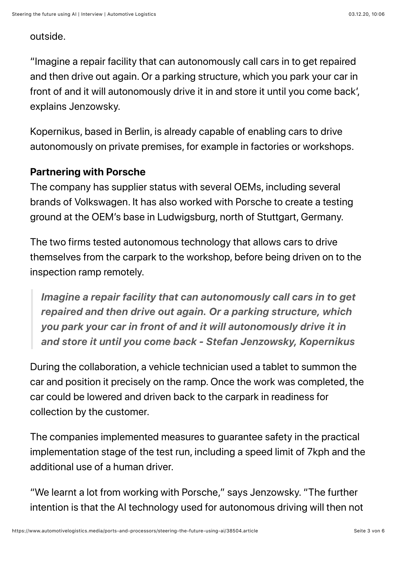#### outside.

"Imagine a repair facility that can autonomously call cars in to get repaired and then drive out again. Or a parking structure, which you park your car in front of and it will autonomously drive it in and store it until you come back', explains Jenzowsky.

Kopernikus, based in Berlin, is already capable of enabling cars to drive autonomously on private premises, for example in factories or workshops.

#### **Partnering with Porsche**

The company has supplier status with several OEMs, including several brands of Volkswagen. It has also worked with Porsche to create a testing ground at the OEM's base in Ludwigsburg, north of Stuttgart, Germany.

The two firms tested autonomous technology that allows cars to drive themselves from the carpark to the workshop, before being driven on to the inspection ramp remotely.

*Imagine a repair facility that can autonomously call cars in to get repaired and then drive out again. Or a parking structure, which you park your car in front of and it will autonomously drive it in and store it until you come back - Stefan Jenzowsky, Kopernikus*

During the collaboration, a vehicle technician used a tablet to summon the car and position it precisely on the ramp. Once the work was completed, the car could be lowered and driven back to the carpark in readiness for collection by the customer.

The companies implemented measures to guarantee safety in the practical implementation stage of the test run, including a speed limit of 7kph and the additional use of a human driver.

"We learnt a lot from working with Porsche," says Jenzowsky. "The further intention is that the AI technology used for autonomous driving will then not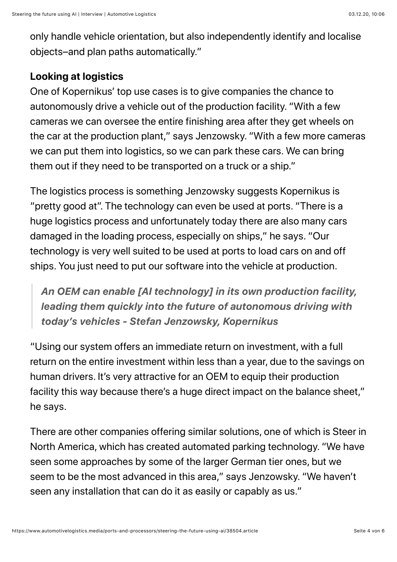only handle vehicle orientation, but also independently identify and localise objects–and plan paths automatically."

## **Looking at logistics**

One of Kopernikus' top use cases is to give companies the chance to autonomously drive a vehicle out of the production facility. "With a few cameras we can oversee the entire finishing area after they get wheels on the car at the production plant," says Jenzowsky. "With a few more cameras we can put them into logistics, so we can park these cars. We can bring them out if they need to be transported on a truck or a ship."

The logistics process is something Jenzowsky suggests Kopernikus is "pretty good at". The technology can even be used at ports. "There is a huge logistics process and unfortunately today there are also many cars damaged in the loading process, especially on ships," he says. "Our technology is very well suited to be used at ports to load cars on and off ships. You just need to put our software into the vehicle at production.

*An OEM can enable [AI technology] in its own production facility, leading them quickly into the future of autonomous driving with today's vehicles - Stefan Jenzowsky, Kopernikus*

"Using our system offers an immediate return on investment, with a full return on the entire investment within less than a year, due to the savings on human drivers. It's very attractive for an OEM to equip their production facility this way because there's a huge direct impact on the balance sheet," he says.

There are other companies offering similar solutions, one of which is Steer in North America, which has created automated parking technology. "We have seen some approaches by some of the larger German tier ones, but we seem to be the most advanced in this area," says Jenzowsky. "We haven't seen any installation that can do it as easily or capably as us."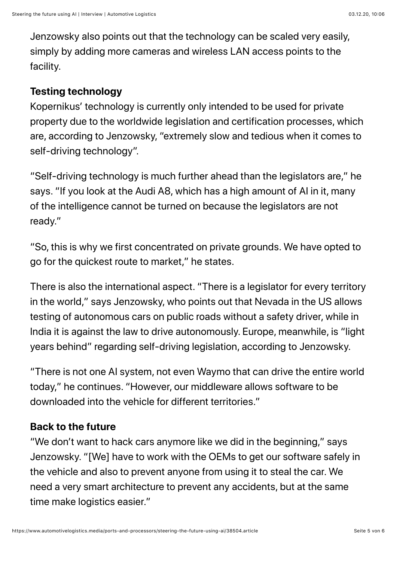Jenzowsky also points out that the technology can be scaled very easily, simply by adding more cameras and wireless LAN access points to the facility.

#### **Testing technology**

Kopernikus' technology is currently only intended to be used for private property due to the worldwide legislation and certification processes, which are, according to Jenzowsky, "extremely slow and tedious when it comes to self-driving technology".

"Self-driving technology is much further ahead than the legislators are," he says. "If you look at the Audi A8, which has a high amount of AI in it, many of the intelligence cannot be turned on because the legislators are not ready."

"So, this is why we first concentrated on private grounds. We have opted to go for the quickest route to market," he states.

There is also the international aspect. "There is a legislator for every territory in the world," says Jenzowsky, who points out that Nevada in the US allows testing of autonomous cars on public roads without a safety driver, while in India it is against the law to drive autonomously. Europe, meanwhile, is "light years behind" regarding self-driving legislation, according to Jenzowsky.

"There is not one AI system, not even Waymo that can drive the entire world today," he continues. "However, our middleware allows software to be downloaded into the vehicle for different territories."

### **Back to the future**

"We don't want to hack cars anymore like we did in the beginning," says Jenzowsky. "[We] have to work with the OEMs to get our software safely in the vehicle and also to prevent anyone from using it to steal the car. We need a very smart architecture to prevent any accidents, but at the same time make logistics easier."